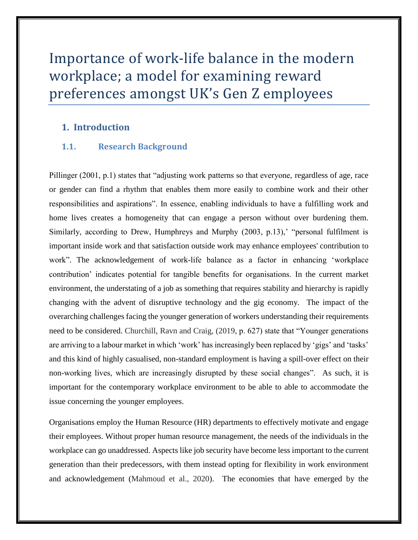# Importance of work-life balance in the modern workplace; a model for examining reward preferences amongst UK's Gen Z employees

# **1. Introduction**

### **1.1. Research Background**

Pillinger (2001, p.1) states that "adjusting work patterns so that everyone, regardless of age, race or gender can find a rhythm that enables them more easily to combine work and their other responsibilities and aspirations". In essence, enabling individuals to have a fulfilling work and home lives creates a homogeneity that can engage a person without over burdening them. Similarly, according to Drew, Humphreys and Murphy (2003, p.13), "personal fulfilment is important inside work and that satisfaction outside work may enhance employees' contribution to work". The acknowledgement of work-life balance as a factor in enhancing 'workplace contribution' indicates potential for tangible benefits for organisations. In the current market environment, the understating of a job as something that requires stability and hierarchy is rapidly changing with the advent of disruptive technology and the gig economy. The impact of the overarching challenges facing the younger generation of workers understanding their requirements need to be considered. Churchill, Ravn and Craig, (2019, p. 627) state that "Younger generations are arriving to a labour market in which 'work' has increasingly been replaced by 'gigs' and 'tasks' and this kind of highly casualised, non-standard employment is having a spill-over effect on their non-working lives, which are increasingly disrupted by these social changes". As such, it is important for the contemporary workplace environment to be able to able to accommodate the issue concerning the younger employees.

Organisations employ the Human Resource (HR) departments to effectively motivate and engage their employees. Without proper human resource management, the needs of the individuals in the workplace can go unaddressed. Aspects like job security have become less important to the current generation than their predecessors, with them instead opting for flexibility in work environment and acknowledgement (Mahmoud et al., 2020). The economies that have emerged by the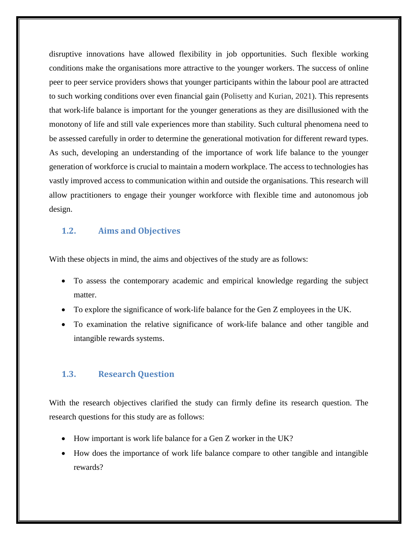disruptive innovations have allowed flexibility in job opportunities. Such flexible working conditions make the organisations more attractive to the younger workers. The success of online peer to peer service providers shows that younger participants within the labour pool are attracted to such working conditions over even financial gain (Polisetty and Kurian, 2021). This represents that work-life balance is important for the younger generations as they are disillusioned with the monotony of life and still vale experiences more than stability. Such cultural phenomena need to be assessed carefully in order to determine the generational motivation for different reward types. As such, developing an understanding of the importance of work life balance to the younger generation of workforce is crucial to maintain a modern workplace. The access to technologies has vastly improved access to communication within and outside the organisations. This research will allow practitioners to engage their younger workforce with flexible time and autonomous job design.

## **1.2. Aims and Objectives**

With these objects in mind, the aims and objectives of the study are as follows:

- To assess the contemporary academic and empirical knowledge regarding the subject matter.
- To explore the significance of work-life balance for the Gen Z employees in the UK.
- To examination the relative significance of work-life balance and other tangible and intangible rewards systems.

### **1.3. Research Question**

With the research objectives clarified the study can firmly define its research question. The research questions for this study are as follows:

- How important is work life balance for a Gen Z worker in the UK?
- How does the importance of work life balance compare to other tangible and intangible rewards?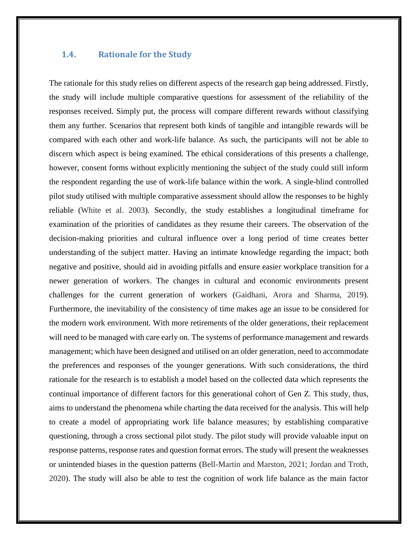## **1.4. Rationale for the Study**

The rationale for this study relies on different aspects of the research gap being addressed. Firstly, the study will include multiple comparative questions for assessment of the reliability of the responses received. Simply put, the process will compare different rewards without classifying them any further. Scenarios that represent both kinds of tangible and intangible rewards will be compared with each other and work-life balance. As such, the participants will not be able to discern which aspect is being examined. The ethical considerations of this presents a challenge, however, consent forms without explicitly mentioning the subject of the study could still inform the respondent regarding the use of work-life balance within the work. A single-blind controlled pilot study utilised with multiple comparative assessment should allow the responses to be highly reliable (White et al. 2003). Secondly, the study establishes a longitudinal timeframe for examination of the priorities of candidates as they resume their careers. The observation of the decision-making priorities and cultural influence over a long period of time creates better understanding of the subject matter. Having an intimate knowledge regarding the impact; both negative and positive, should aid in avoiding pitfalls and ensure easier workplace transition for a newer generation of workers. The changes in cultural and economic environments present challenges for the current generation of workers (Gaidhani, Arora and Sharma, 2019). Furthermore, the inevitability of the consistency of time makes age an issue to be considered for the modern work environment. With more retirements of the older generations, their replacement will need to be managed with care early on. The systems of performance management and rewards management; which have been designed and utilised on an older generation, need to accommodate the preferences and responses of the younger generations. With such considerations, the third rationale for the research is to establish a model based on the collected data which represents the continual importance of different factors for this generational cohort of Gen Z. This study, thus, aims to understand the phenomena while charting the data received for the analysis. This will help to create a model of appropriating work life balance measures; by establishing comparative questioning, through a cross sectional pilot study. The pilot study will provide valuable input on response patterns, response rates and question format errors. The study will present the weaknesses or unintended biases in the question patterns (Bell-Martin and Marston, 2021; Jordan and Troth, 2020). The study will also be able to test the cognition of work life balance as the main factor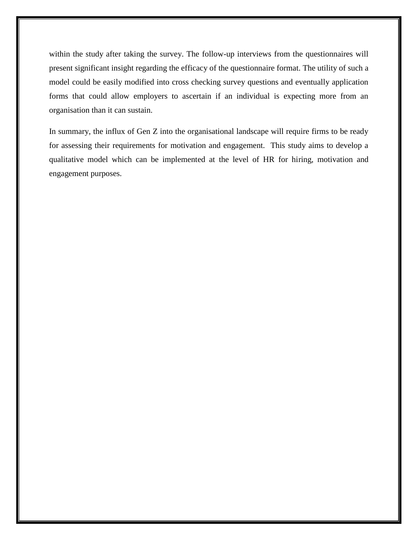within the study after taking the survey. The follow-up interviews from the questionnaires will present significant insight regarding the efficacy of the questionnaire format. The utility of such a model could be easily modified into cross checking survey questions and eventually application forms that could allow employers to ascertain if an individual is expecting more from an organisation than it can sustain.

In summary, the influx of Gen Z into the organisational landscape will require firms to be ready for assessing their requirements for motivation and engagement. This study aims to develop a qualitative model which can be implemented at the level of HR for hiring, motivation and engagement purposes.